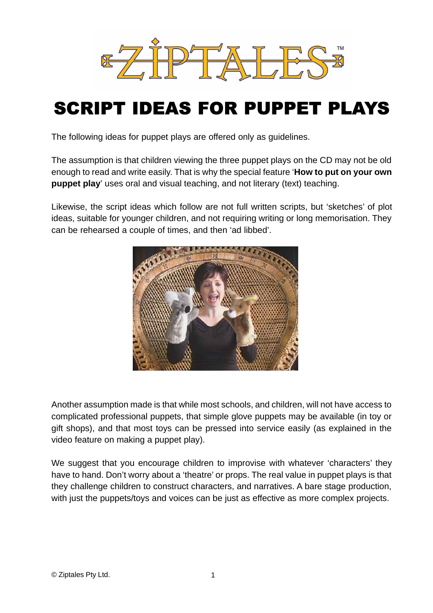

# SCRIPT IDEAS FOR PUPPET PLAYS

The following ideas for puppet plays are offered only as guidelines.

The assumption is that children viewing the three puppet plays on the CD may not be old enough to read and write easily. That is why the special feature '**How to put on your own puppet play**' uses oral and visual teaching, and not literary (text) teaching.

Likewise, the script ideas which follow are not full written scripts, but 'sketches' of plot ideas, suitable for younger children, and not requiring writing or long memorisation. They can be rehearsed a couple of times, and then 'ad libbed'.



Another assumption made is that while most schools, and children, will not have access to complicated professional puppets, that simple glove puppets may be available (in toy or gift shops), and that most toys can be pressed into service easily (as explained in the video feature on making a puppet play).

We suggest that you encourage children to improvise with whatever 'characters' they have to hand. Don't worry about a 'theatre' or props. The real value in puppet plays is that they challenge children to construct characters, and narratives. A bare stage production, with just the puppets/toys and voices can be just as effective as more complex projects.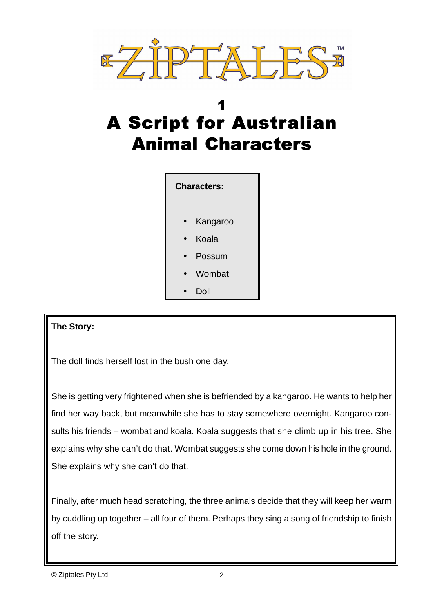

# 1 A Script for Australian Animal Characters



## **The Story:**

The doll finds herself lost in the bush one day.

She is getting very frightened when she is befriended by a kangaroo. He wants to help her find her way back, but meanwhile she has to stay somewhere overnight. Kangaroo consults his friends – wombat and koala. Koala suggests that she climb up in his tree. She explains why she can't do that. Wombat suggests she come down his hole in the ground. She explains why she can't do that.

Finally, after much head scratching, the three animals decide that they will keep her warm by cuddling up together – all four of them. Perhaps they sing a song of friendship to finish off the story.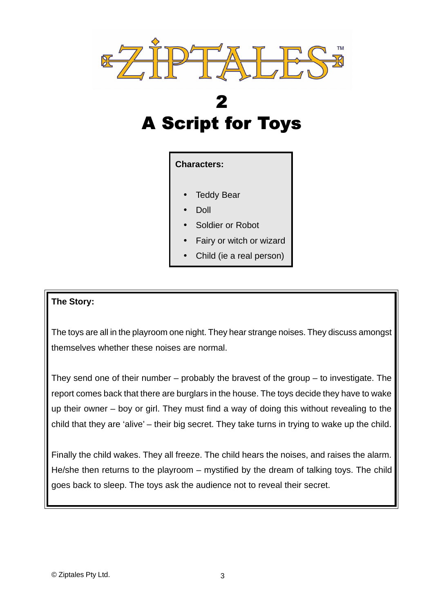

# 2 A Script for Toys

### **Characters:**

- **Teddy Bear**
- Doll
- Soldier or Robot
- Fairy or witch or wizard
- Child (ie a real person)

### **The Story:**

The toys are all in the playroom one night. They hear strange noises. They discuss amongst themselves whether these noises are normal.

They send one of their number – probably the bravest of the group – to investigate. The report comes back that there are burglars in the house. The toys decide they have to wake up their owner – boy or girl. They must find a way of doing this without revealing to the child that they are 'alive' – their big secret. They take turns in trying to wake up the child.

Finally the child wakes. They all freeze. The child hears the noises, and raises the alarm. He/she then returns to the playroom – mystified by the dream of talking toys. The child goes back to sleep. The toys ask the audience not to reveal their secret.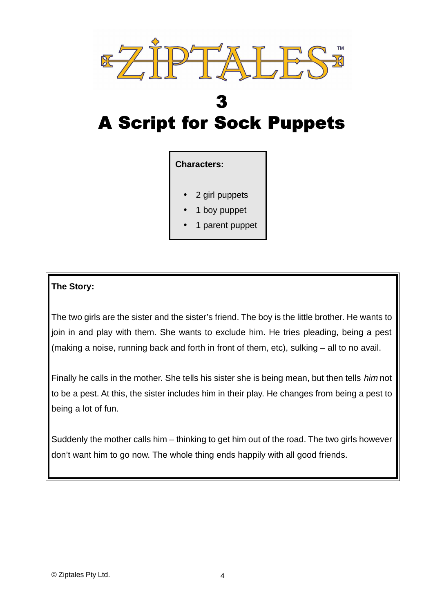

## 3 A Script for Sock Puppets

### **Characters:**

- 2 girl puppets
- 1 boy puppet
- 1 parent puppet

### **The Story:**

The two girls are the sister and the sister's friend. The boy is the little brother. He wants to join in and play with them. She wants to exclude him. He tries pleading, being a pest (making a noise, running back and forth in front of them, etc), sulking – all to no avail.

Finally he calls in the mother. She tells his sister she is being mean, but then tells him not to be a pest. At this, the sister includes him in their play. He changes from being a pest to being a lot of fun.

Suddenly the mother calls him – thinking to get him out of the road. The two girls however don't want him to go now. The whole thing ends happily with all good friends.